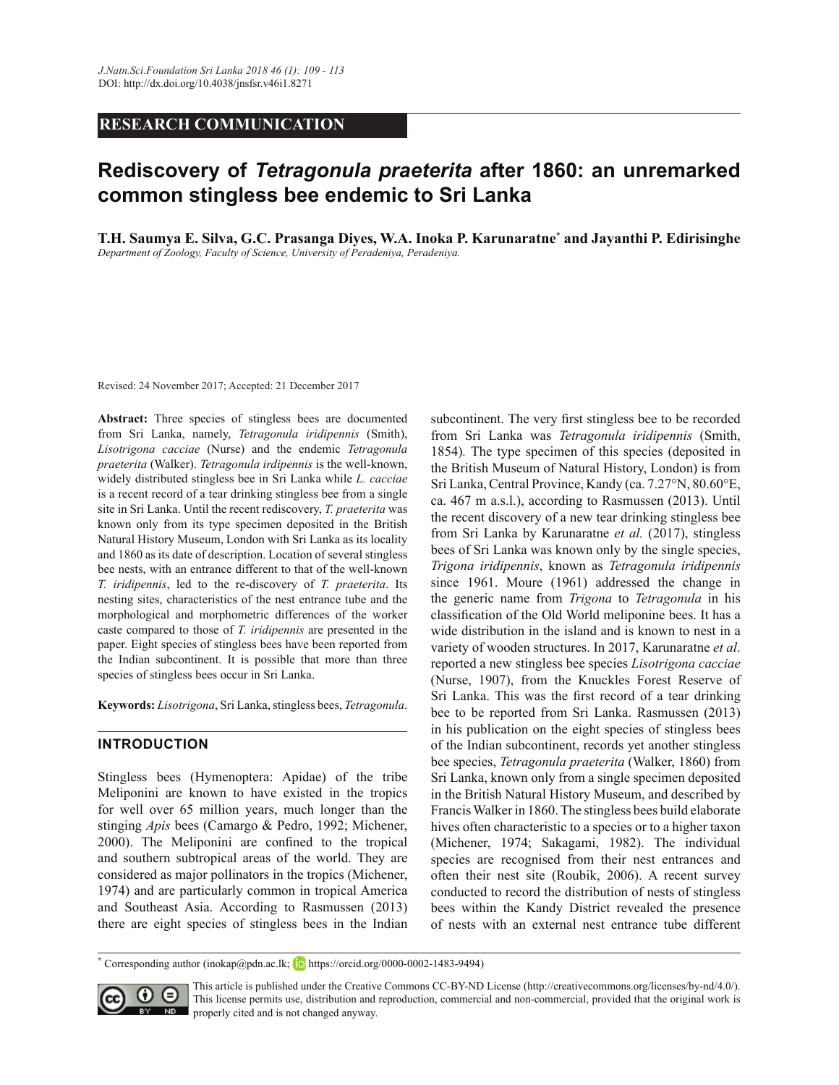# **RESEARCH COMMUNICATION**

# **Rediscovery of** *Tetragonula praeterita* **after 1860: an unremarked common stingless bee endemic to Sri Lanka**

**T.H. Saumya E. Silva, G.C. Prasanga Diyes, W.A. Inoka P. Karunaratne\* and Jayanthi P. Edirisinghe** Department of Zoology, Faculty of Science, University of Peradeniya, Peradeniya.

Revised: 24 November 2017; Accepted: 21 December 2017

**Abstract:** Three species of stingless bees are documented from Sri Lanka, namely, *Tetragonula iridipennis* (Smith), *Lisotrigona cacciae* (Nurse) and the endemic *Tetragonula praeterita* (Walker). *Tetragonula irdipennis* is the well-known, widely distributed stingless bee in Sri Lanka while *L. cacciae*  is a recent record of a tear drinking stingless bee from a single site in Sri Lanka. Until the recent rediscovery, *T. praeterita* was known only from its type specimen deposited in the British Natural History Museum, London with Sri Lanka as its locality and 1860 as its date of description. Location of several stingless bee nests, with an entrance different to that of the well-known *T. iridipennis*, led to the re-discovery of *T. praeterita*. Its nesting sites, characteristics of the nest entrance tube and the morphological and morphometric differences of the worker caste compared to those of *T. iridipennis* are presented in the paper. Eight species of stingless bees have been reported from the Indian subcontinent. It is possible that more than three species of stingless bees occur in Sri Lanka.

**Keywords:** *Lisotrigona*, Sri Lanka, stingless bees, *Tetragonula*.

#### **INTRODUCTION**

Stingless bees (Hymenoptera: Apidae) of the tribe Meliponini are known to have existed in the tropics for well over 65 million years, much longer than the stinging *Apis* bees (Camargo & Pedro, 1992; Michener, 2000). The Meliponini are confined to the tropical and southern subtropical areas of the world. They are considered as major pollinators in the tropics (Michener, 1974) and are particularly common in tropical America and Southeast Asia. According to Rasmussen (2013) there are eight species of stingless bees in the Indian

subcontinent. The very first stingless bee to be recorded from Sri Lanka was *Tetragonula iridipennis* (Smith, 1854)*.* The type specimen of this species (deposited in the British Museum of Natural History, London) is from Sri Lanka, Central Province, Kandy (ca. 7.27°N, 80.60°E, ca. 467 m a.s.l.), according to Rasmussen (2013). Until the recent discovery of a new tear drinking stingless bee from Sri Lanka by Karunaratne *et al.* (2017), stingless bees of Sri Lanka was known only by the single species, *Trigona iridipennis*, known as *Tetragonula iridipennis* since 1961. Moure (1961) addressed the change in the generic name from *Trigona* to *Tetragonula* in his classification of the Old World meliponine bees. It has a wide distribution in the island and is known to nest in a variety of wooden structures. In 2017, Karunaratne *et al*. reported a new stingless bee species *Lisotrigona cacciae* (Nurse, 1907), from the Knuckles Forest Reserve of Sri Lanka. This was the first record of a tear drinking bee to be reported from Sri Lanka. Rasmussen (2013) in his publication on the eight species of stingless bees of the Indian subcontinent, records yet another stingless bee species, *Tetragonula praeterita* (Walker, 1860) from Sri Lanka, known only from a single specimen deposited in the British Natural History Museum, and described by Francis Walker in 1860. The stingless bees build elaborate hives often characteristic to a species or to a higher taxon (Michener, 1974; Sakagami, 1982). The individual species are recognised from their nest entrances and often their nest site (Roubik, 2006). A recent survey conducted to record the distribution of nests of stingless bees within the Kandy District revealed the presence of nests with an external nest entrance tube different

<sup>\*</sup> Corresponding author (inokap@pdn.ac.lk; **h**ttps://orcid.org/0000-0002-1483-9494)



This article is published under the Creative Commons CC-BY-ND License (http://creativecommons.org/licenses/by-nd/4.0/). This license permits use, distribution and reproduction, commercial and non-commercial, provided that the original work is **ND** properly cited and is not changed anyway.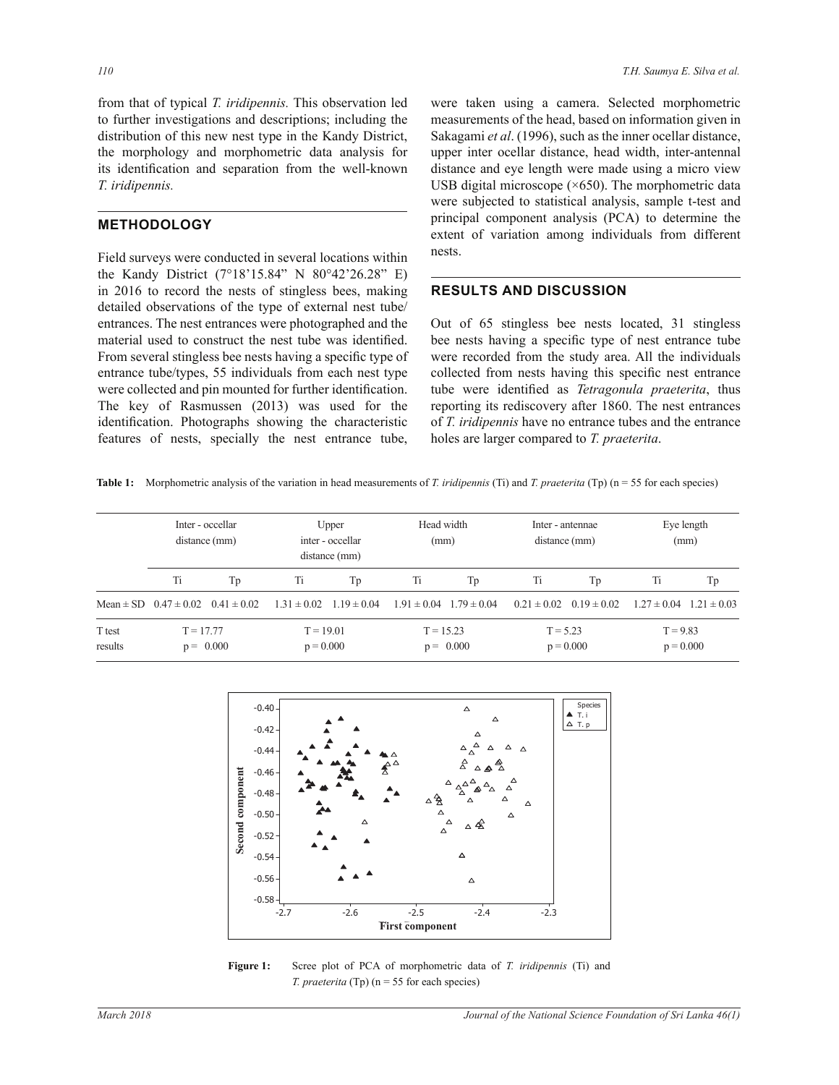from that of typical *T. iridipennis.* This observation led to further investigations and descriptions; including the distribution of this new nest type in the Kandy District, the morphology and morphometric data analysis for its identification and separation from the well-known *T. iridipennis.*

# **METHODOLOGY**

Field surveys were conducted in several locations within the Kandy District  $(7^{\circ}18'15.84''$  N  $80^{\circ}42'26.28''$  E) in 2016 to record the nests of stingless bees, making detailed observations of the type of external nest tube/ entrances. The nest entrances were photographed and the material used to construct the nest tube was identified. From several stingless bee nests having a specific type of entrance tube/types, 55 individuals from each nest type were collected and pin mounted for further identification. The key of Rasmussen (2013) was used for the identification. Photographs showing the characteristic features of nests, specially the nest entrance tube, were taken using a camera. Selected morphometric measurements of the head, based on information given in Sakagami *et al*. (1996), such as the inner ocellar distance, upper inter ocellar distance, head width, inter-antennal distance and eye length were made using a micro view USB digital microscope  $(\times 650)$ . The morphometric data were subjected to statistical analysis, sample t-test and principal component analysis (PCA) to determine the extent of variation among individuals from different nests.

# **RESULTS AND DISCUSSION**

Out of 65 stingless bee nests located, 31 stingless bee nests having a specific type of nest entrance tube were recorded from the study area. All the individuals collected from nests having this specific nest entrance tube were identified as *Tetragonula praeterita*, thus reporting its rediscovery after 1860. The nest entrances of *T. iridipennis* have no entrance tubes and the entrance holes are larger compared to *T. praeterita*.

Table 1: Morphometric analysis of the variation in head measurements of *T. iridipennis* (Ti) and *T. praeterita* (Tp) (n = 55 for each species)

|                   | Inter - occellar<br>distance (mm)             |    | Upper<br>inter - occellar<br>distance (mm) |                                 | Head width<br>(mm)              |    | Inter - antennae<br>distance (mm) |    | Eye length<br>(mm)              |    |
|-------------------|-----------------------------------------------|----|--------------------------------------------|---------------------------------|---------------------------------|----|-----------------------------------|----|---------------------------------|----|
|                   | Ti                                            | Tp | Ti                                         | Tp                              | Ti                              | Tp | Ti                                | Тp | Ti                              | Tp |
|                   | Mean $\pm$ SD 0.47 $\pm$ 0.02 0.41 $\pm$ 0.02 |    |                                            | $1.31 \pm 0.02$ $1.19 \pm 0.04$ | $1.91 \pm 0.04$ $1.79 \pm 0.04$ |    | $0.21 \pm 0.02$ $0.19 \pm 0.02$   |    | $1.27 \pm 0.04$ $1.21 \pm 0.03$ |    |
| T test<br>results | $T = 17.77$<br>$p = 0.000$                    |    | $T = 19.01$<br>$p = 0.000$                 |                                 | $T = 15.23$<br>$p = 0.000$      |    | $T = 5.23$<br>$p = 0.000$         |    | $T = 9.83$<br>$p = 0.000$       |    |



**Figure 1:** Scree plot of PCA of morphometric data of *T. iridipennis* (Ti) and *T. praeterita* (Tp) (n = 55 for each species)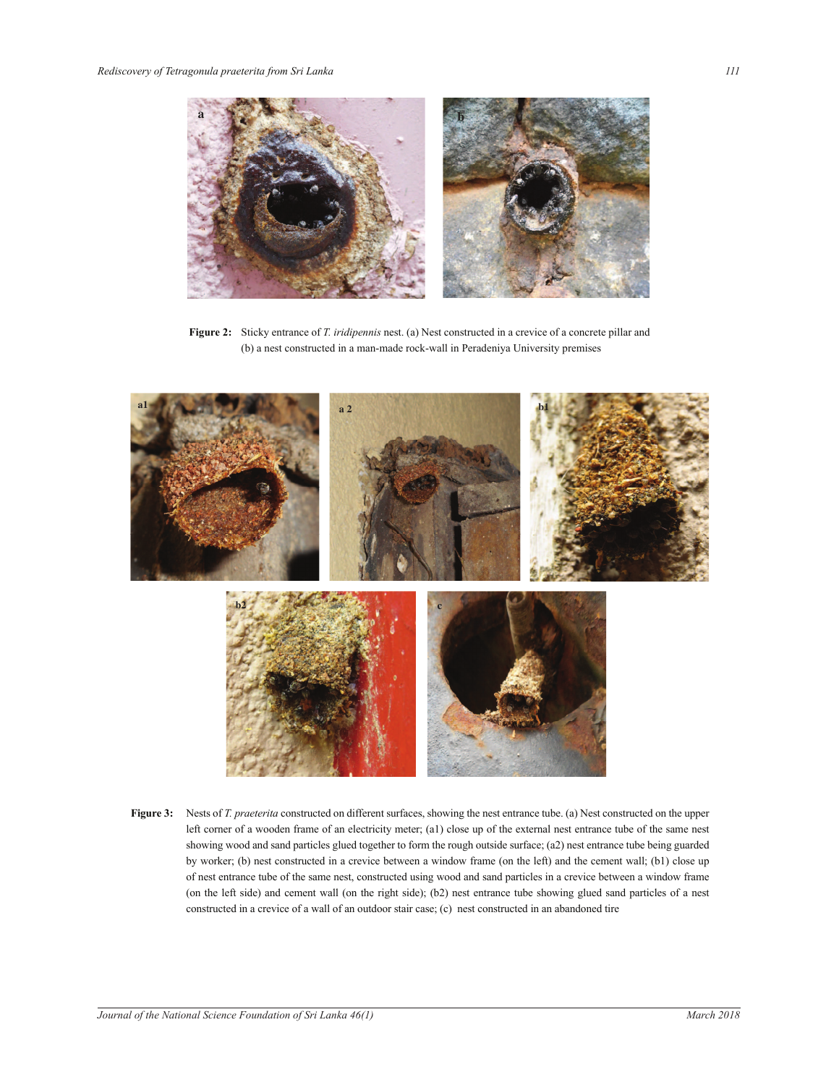

**Figure 2:** Sticky entrance of *T. iridipennis* nest. (a) Nest constructed in a crevice of a concrete pillar and (b) a nest constructed in a man-made rock-wall in Peradeniya University premises



showing wood and sand particles glued together to form the rough outside surface; (a2) nest entrance tube being guarded **Figure 3:** Nests of *T. praeterita* constructed on different surfaces, showing the nest entrance tube. (a) Nest constructed on the upper left corner of a wooden frame of an electricity meter; (a1) close up of the external nest entrance tube of the same nest by worker; (b) nest constructed in a crevice between a window frame (on the left) and the cement wall; (b1) close up of nest entrance tube of the same nest, constructed using wood and sand particles in a crevice between a window frame (on the left side) and cement wall (on the right side); (b2) nest entrance tube showing glued sand particles of a nest constructed in a crevice of a wall of an outdoor stair case; (c) nest constructed in an abandoned tire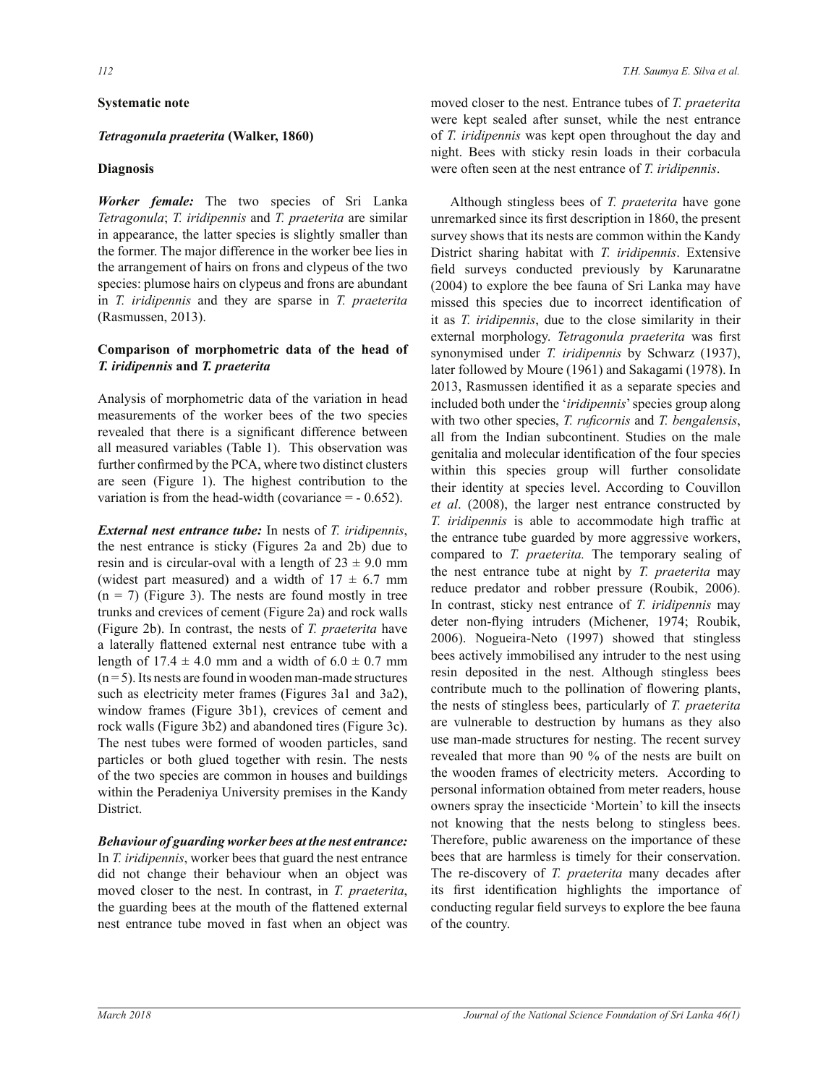## **Systematic note**

# *Tetragonula praeterita* **(Walker, 1860)**

#### **Diagnosis**

*Worker female:* The two species of Sri Lanka *Tetragonula*; *T. iridipennis* and *T. praeterita* are similar in appearance, the latter species is slightly smaller than the former. The major difference in the worker bee lies in the arrangement of hairs on frons and clypeus of the two species: plumose hairs on clypeus and frons are abundant in *T. iridipennis* and they are sparse in *T. praeterita* (Rasmussen, 2013).

## **Comparison of morphometric data of the head of**  *T. iridipennis* **and** *T. praeterita*

Analysis of morphometric data of the variation in head measurements of the worker bees of the two species revealed that there is a significant difference between all measured variables (Table 1). This observation was further confirmed by the PCA, where two distinct clusters are seen (Figure 1). The highest contribution to the variation is from the head-width (covariance  $= -0.652$ ).

*External nest entrance tube:* In nests of *T. iridipennis*, the nest entrance is sticky (Figures 2a and 2b) due to resin and is circular-oval with a length of  $23 \pm 9.0$  mm (widest part measured) and a width of  $17 \pm 6.7$  mm  $(n = 7)$  (Figure 3). The nests are found mostly in tree trunks and crevices of cement (Figure 2a) and rock walls (Figure 2b). In contrast, the nests of *T. praeterita* have a laterally flattened external nest entrance tube with a length of  $17.4 \pm 4.0$  mm and a width of  $6.0 \pm 0.7$  mm  $(n=5)$ . Its nests are found in wooden man-made structures such as electricity meter frames (Figures 3a1 and 3a2), window frames (Figure 3b1), crevices of cement and rock walls (Figure 3b2) and abandoned tires (Figure 3c). The nest tubes were formed of wooden particles, sand particles or both glued together with resin. The nests of the two species are common in houses and buildings within the Peradeniya University premises in the Kandy District.

# *Behaviour of guarding worker bees at the nest entrance:*

In *T. iridipennis*, worker bees that guard the nest entrance did not change their behaviour when an object was moved closer to the nest. In contrast, in *T. praeterita*, the guarding bees at the mouth of the flattened external nest entrance tube moved in fast when an object was moved closer to the nest. Entrance tubes of *T. praeterita* were kept sealed after sunset, while the nest entrance of *T. iridipennis* was kept open throughout the day and night. Bees with sticky resin loads in their corbacula were often seen at the nest entrance of *T. iridipennis*.

 Although stingless bees of *T. praeterita* have gone unremarked since its first description in 1860, the present survey shows that its nests are common within the Kandy District sharing habitat with *T. iridipennis*. Extensive field surveys conducted previously by Karunaratne (2004) to explore the bee fauna of Sri Lanka may have missed this species due to incorrect identification of it as *T. iridipennis*, due to the close similarity in their external morphology. *Tetragonula praeterita* was first synonymised under *T. iridipennis* by Schwarz (1937), later followed by Moure (1961) and Sakagami (1978). In 2013, Rasmussen identified it as a separate species and included both under the '*iridipennis*' species group along with two other species, *T. ruficornis* and *T. bengalensis*, all from the Indian subcontinent. Studies on the male genitalia and molecular identification of the four species within this species group will further consolidate their identity at species level. According to Couvillon *et al*. (2008), the larger nest entrance constructed by *T. iridipennis* is able to accommodate high traffic at the entrance tube guarded by more aggressive workers, compared to *T. praeterita.* The temporary sealing of the nest entrance tube at night by *T. praeterita* may reduce predator and robber pressure (Roubik, 2006). In contrast, sticky nest entrance of *T. iridipennis* may deter non-flying intruders (Michener, 1974; Roubik, 2006). Nogueira-Neto (1997) showed that stingless bees actively immobilised any intruder to the nest using resin deposited in the nest. Although stingless bees contribute much to the pollination of flowering plants, the nests of stingless bees, particularly of *T. praeterita* are vulnerable to destruction by humans as they also use man-made structures for nesting. The recent survey revealed that more than 90 % of the nests are built on the wooden frames of electricity meters. According to personal information obtained from meter readers, house owners spray the insecticide 'Mortein' to kill the insects not knowing that the nests belong to stingless bees. Therefore, public awareness on the importance of these bees that are harmless is timely for their conservation. The re-discovery of *T. praeterita* many decades after its first identification highlights the importance of conducting regular field surveys to explore the bee fauna of the country.